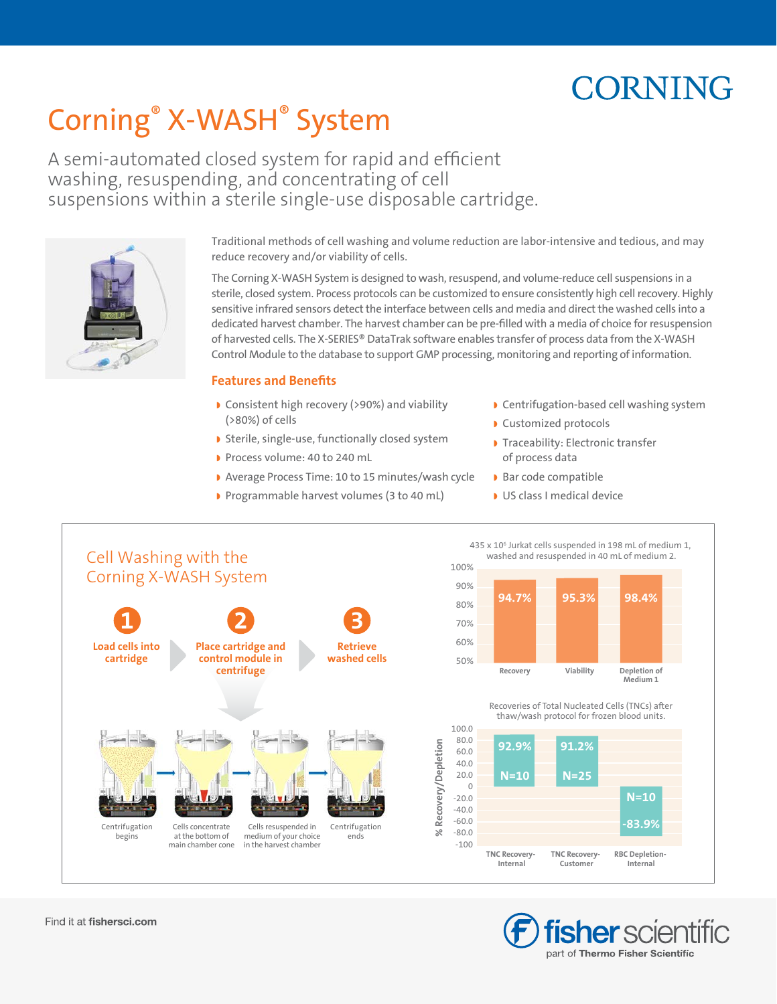# **CORNING**

# Corning® X-WASH® System

A semi-automated closed system for rapid and efficient washing, resuspending, and concentrating of cell suspensions within a sterile single-use disposable cartridge.



Traditional methods of cell washing and volume reduction are labor-intensive and tedious, and may reduce recovery and/or viability of cells.

The Corning X-WASH System is designed to wash, resuspend, and volume-reduce cell suspensions in a sterile, closed system. Process protocols can be customized to ensure consistently high cell recovery. Highly sensitive infrared sensors detect the interface between cells and media and direct the washed cells into a dedicated harvest chamber. The harvest chamber can be pre-filled with a media of choice for resuspension of harvested cells. The X-SERIES® DataTrak software enables transfer of process data from the X-WASH Control Module to the database to support GMP processing, monitoring and reporting of information.

### **Features and Benefits**

- ◗ Consistent high recovery (>90%) and viability (>80%) of cells
- ◗ Sterile, single-use, functionally closed system
- ◗ Process volume: 40 to 240 mL
- ◗ Average Process Time: 10 to 15 minutes/wash cycle
- ◗ Programmable harvest volumes (3 to 40 mL)
- ◗ Centrifugation-based cell washing system
- ◗ Customized protocols
- ◗ Traceability: Electronic transfer of process data

435 x 10<sup>6</sup> Jurkat cells suspended in 198 mL of medium 1, washed and resuspended in 40 mL of medium 2.

- ◗ Bar code compatible
- ◗ US class I medical device



90% 80% 70% 60% 50% Depletion of  $\dot{M}$ edium 1 Recovery **Viability** 94.7% 95.3% 98.4% 100.0 80.0 60.0 40.0  $20.0$  $\overline{0}$ 92.9% **N=10 1 N=25** 91.2%  $N = 10$ Recoveries of Total Nucleated Cells (TNCs) after thaw/wash protocol for frozen blood units.

> **TNC Recovery** Customer

**TNC Recovery Internal** 

> **fisher** scientific part of Thermo Fisher Scientific

**RBC** Depletion-Internal

83.99